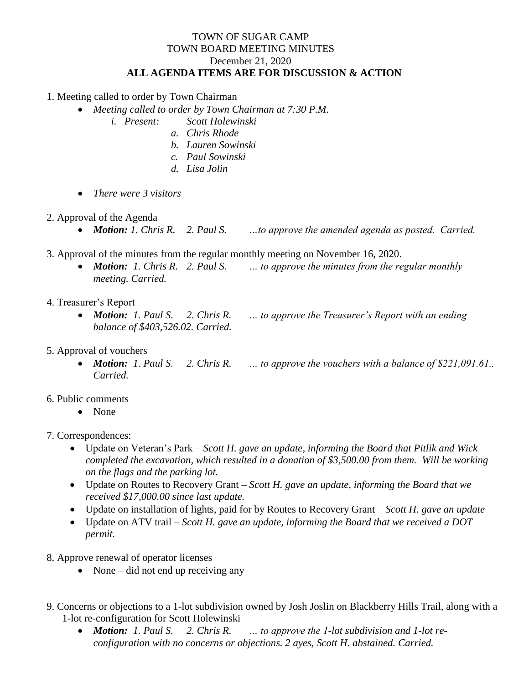## TOWN OF SUGAR CAMP TOWN BOARD MEETING MINUTES December 21, 2020 **ALL AGENDA ITEMS ARE FOR DISCUSSION & ACTION**

1. Meeting called to order by Town Chairman

- *Meeting called to order by Town Chairman at 7:30 P.M.*
	- *i. Present: Scott Holewinski*
		- *a. Chris Rhode*
		- *b. Lauren Sowinski*
		- *c. Paul Sowinski*
		- *d. Lisa Jolin*
- *There were 3 visitors*
- 2. Approval of the Agenda
	- *Motion: 1. Chris R. 2. Paul S. …to approve the amended agenda as posted. Carried.*
- 3. Approval of the minutes from the regular monthly meeting on November 16, 2020.
	- *Motion: 1. Chris R. 2. Paul S. … to approve the minutes from the regular monthly meeting. Carried.*
- 4. Treasurer's Report
	- *Motion: 1. Paul S. 2. Chris R. … to approve the Treasurer's Report with an ending balance of \$403,526.02. Carried.*
- 5. Approval of vouchers
	- *Motion: 1. Paul S. 2. Chris R. … to approve the vouchers with a balance of \$221,091.61.. Carried.*
- 6. Public comments
	- None
- 7. Correspondences:
	- Update on Veteran's Park *Scott H. gave an update, informing the Board that Pitlik and Wick completed the excavation, which resulted in a donation of \$3,500.00 from them. Will be working on the flags and the parking lot.*
	- Update on Routes to Recovery Grant *Scott H. gave an update, informing the Board that we received \$17,000.00 since last update.*
	- Update on installation of lights, paid for by Routes to Recovery Grant *Scott H. gave an update*
	- Update on ATV trail *Scott H. gave an update, informing the Board that we received a DOT permit.*
- 8. Approve renewal of operator licenses
	- None did not end up receiving any
- 9. Concerns or objections to a 1-lot subdivision owned by Josh Joslin on Blackberry Hills Trail, along with a 1-lot re-configuration for Scott Holewinski
	- *Motion: 1. Paul S. 2. Chris R. … to approve the 1-lot subdivision and 1-lot reconfiguration with no concerns or objections. 2 ayes, Scott H. abstained. Carried.*